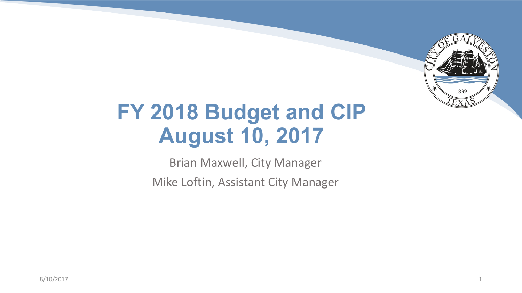

## **FY 2018 Budget and CIP August 10, 2017**

Brian Maxwell, City Manager

Mike Loftin, Assistant City Manager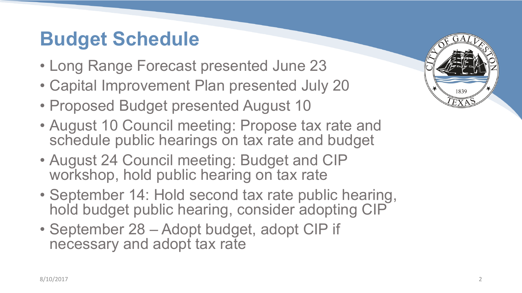### **Budget Schedule**

- Long Range Forecast presented June 23
- Capital Improvement Plan presented July 20
- Proposed Budget presented August 10
- August 10 Council meeting: Propose tax rate and schedule public hearings on tax rate and budget
- August 24 Council meeting: Budget and CIP workshop, hold public hearing on tax rate
- September 14: Hold second tax rate public hearing, hold budget public hearing, consider adopting CIP
- September 28 Adopt budget, adopt CIP if necessary and adopt tax rate

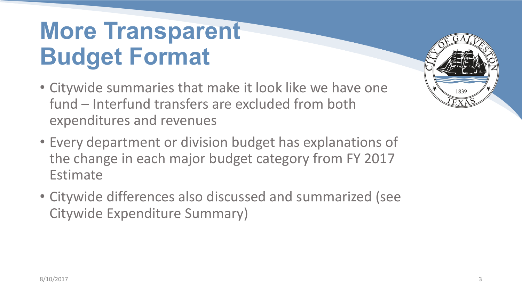# **More Transparent Budget Format**

- Citywide summaries that make it look like we have one fund – Interfund transfers are excluded from both expenditures and revenues
- Every department or division budget has explanations of the change in each major budget category from FY 2017 Estimate
- Citywide differences also discussed and summarized (see Citywide Expenditure Summary)

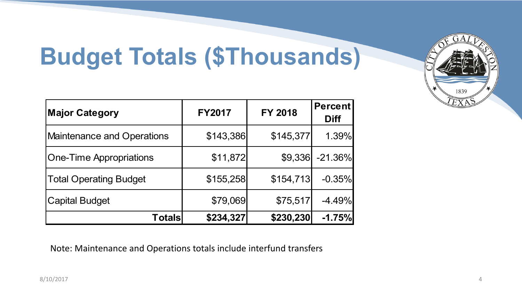# **Budget Totals (\$Thousands)**

| <b>Major Category</b>          | <b>FY2017</b> | <b>FY 2018</b> | <b>Percent</b><br><b>Diff</b> |
|--------------------------------|---------------|----------------|-------------------------------|
| Maintenance and Operations     | \$143,386     | \$145,377      | 1.39%                         |
| <b>One-Time Appropriations</b> | \$11,872      | \$9,336        | $-21.36\%$                    |
| <b>Total Operating Budget</b>  | \$155,258     | \$154,713      | $-0.35%$                      |
| <b>Capital Budget</b>          | \$79,069      | \$75,517       | $-4.49%$                      |
| Totals                         | \$234,327     | \$230,230      | $-1.75%$                      |

Note: Maintenance and Operations totals include interfund transfers

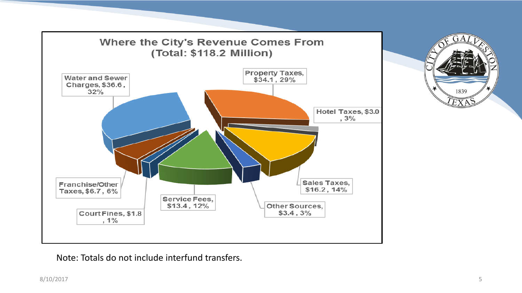

 $A\cap$ 1839

Note: Totals do not include interfund transfers.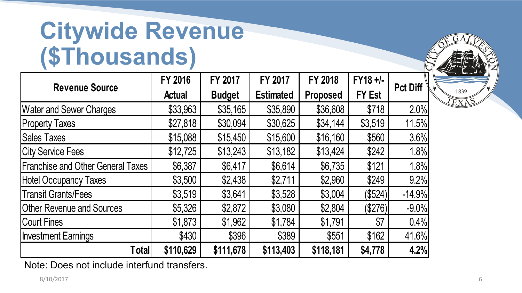# **Citywide Revenue (\$Thousands)**

|                                          | <b>FY 2016</b> | FY 2017       | FY 2017          | <b>FY 2018</b>  | FY18 +/-      | <b>Pct Diff</b> |
|------------------------------------------|----------------|---------------|------------------|-----------------|---------------|-----------------|
| <b>Revenue Source</b>                    | <b>Actual</b>  | <b>Budget</b> | <b>Estimated</b> | <b>Proposed</b> | <b>FY Est</b> |                 |
| <b>Water and Sewer Charges</b>           | \$33,963       | \$35,165      | \$35,890         | \$36,608        | \$718         | 2.0%            |
| <b>Property Taxes</b>                    | \$27,818       | \$30,094      | \$30,625         | \$34,144        | \$3,519       | 11.5%           |
| <b>Sales Taxes</b>                       | \$15,088       | \$15,450      | \$15,600         | \$16,160        | \$560         | 3.6%            |
| <b>City Service Fees</b>                 | \$12,725       | \$13,243      | \$13,182         | \$13,424        | \$242         | 1.8%            |
| <b>Franchise and Other General Taxes</b> | \$6,387        | \$6,417       | \$6,614          | \$6,735         | \$121         | 1.8%            |
| <b>Hotel Occupancy Taxes</b>             | \$3,500        | \$2,438       | \$2,711          | \$2,960         | \$249         | 9.2%            |
| <b>Transit Grants/Fees</b>               | \$3,519        | \$3,641       | \$3,528          | \$3,004         | (\$524)       | $-14.9%$        |
| <b>Other Revenue and Sources</b>         | \$5,326        | \$2,872       | \$3,080          | \$2,804         | (\$276)       | $-9.0%$         |
| <b>Court Fines</b>                       | \$1,873        | \$1,962       | \$1,784          | \$1,791         | \$7           | 0.4%            |
| <b>Investment Earnings</b>               | \$430          | \$396         | \$389            | \$551           | \$162         | 41.6%           |
| <b>Total</b>                             | \$110,629      | \$111,678     | \$113,403        | \$118,181       | \$4,778       | 4.2%            |

1839

Note: Does not include interfund transfers.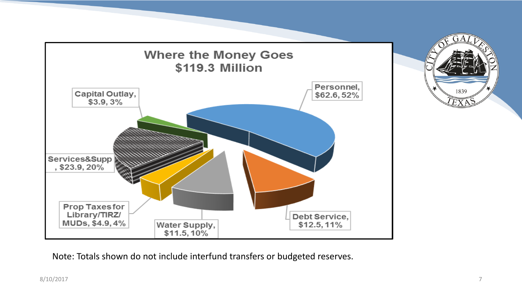

Note: Totals shown do not include interfund transfers or budgeted reserves.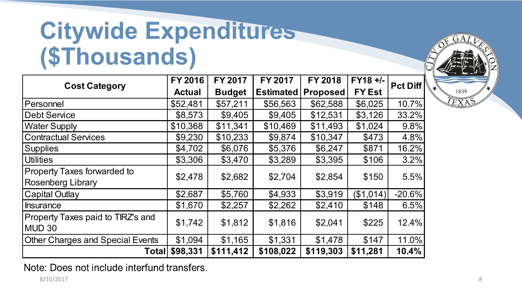# **Citywide Expenditures (\$Thousands)**

|                                                        | FY 2016       | <b>FY 2017</b> | <b>FY 2017</b>   | <b>FY 2018</b>  | $FY18 +/-$    | <b>Pct Diff</b> |
|--------------------------------------------------------|---------------|----------------|------------------|-----------------|---------------|-----------------|
| <b>Cost Category</b>                                   | <b>Actual</b> | <b>Budget</b>  | <b>Estimated</b> | <b>Proposed</b> | <b>FY Est</b> |                 |
| Personnel                                              | \$52,481      | \$57,211       | \$56,563         | \$62,588        | \$6,025       | 10.7%           |
| <b>Debt Service</b>                                    | \$8,573       | \$9,405        | \$9,405          | \$12,531        | \$3,126       | 33.2%           |
| <b>Water Supply</b>                                    | \$10,368      | \$11,341       | \$10,469         | \$11,493        | \$1,024       | 9.8%            |
| <b>Contractual Services</b>                            | \$9,230       | \$10,233       | \$9,874          | \$10,347        | \$473         | 4.8%            |
| <b>Supplies</b>                                        | \$4,702       | \$6,076        | \$5,376          | \$6,247         | \$871         | 16.2%           |
| <b>Utilities</b>                                       | \$3,306       | \$3,470        | \$3,289          | \$3,395         | \$106         | 3.2%            |
| Property Taxes forwarded to<br>Rosenberg Library       | \$2,478       | \$2,682        | \$2,704          | \$2,854         | \$150         | 5.5%            |
| <b>Capital Outlay</b>                                  | \$2,687       | \$5,760        | \$4,933          | \$3,919         | (\$1,014)     | $-20.6%$        |
| <b>Insurance</b>                                       | \$1,670       | \$2,257        | \$2,262          | \$2,410         | \$148         | 6.5%            |
| Property Taxes paid to TIRZ's and<br>MUD <sub>30</sub> | \$1,742       | \$1,812        | \$1,816          | \$2,041         | \$225         | 12.4%           |
| <b>Other Charges and Special Events</b>                | \$1,094       | \$1,165        | \$1,331          | \$1,478         | \$147         | 11.0%           |
| <b>Total</b>                                           | \$98,331      | \$111,412      | \$108,022        | \$119,303       | \$11,281      | 10.4%           |

1839

Note: Does not include interfund transfers.

8/10/2017 8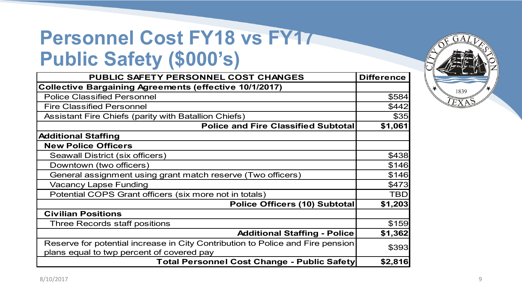### **Personnel Cost FY18 vs FY17 Public Safety (\$000's)**

| PUBLIC SAFETY PERSONNEL COST CHANGES                                           | <b>Difference</b> |
|--------------------------------------------------------------------------------|-------------------|
| <b>Collective Bargaining Agreements (effective 10/1/2017)</b>                  |                   |
| <b>Police Classified Personnel</b>                                             | \$584             |
| <b>Fire Classified Personnel</b>                                               | \$442             |
| <b>Assistant Fire Chiefs (parity with Batallion Chiefs)</b>                    | \$35              |
| Police and Fire Classified Subtotal                                            | \$1,061           |
| <b>Additional Staffing</b>                                                     |                   |
| <b>New Police Officers</b>                                                     |                   |
| Seawall District (six officers)                                                | \$438             |
| Downtown (two officers)                                                        | \$146             |
| General assignment using grant match reserve (Two officers)                    | \$146             |
| <b>Vacancy Lapse Funding</b>                                                   | \$473             |
| Potential COPS Grant officers (six more not in totals)                         | <b>TBD</b>        |
| <b>Police Officers (10) Subtotal</b>                                           | \$1,203           |
| <b>Civilian Positions</b>                                                      |                   |
| Three Records staff positions                                                  | \$159             |
| <b>Additional Staffing - Police</b>                                            | \$1,362           |
| Reserve for potential increase in City Contribution to Police and Fire pension | \$393             |
| plans equal to twp percent of covered pay                                      |                   |
| <b>Total Personnel Cost Change - Public Safety</b>                             | \$2,816           |

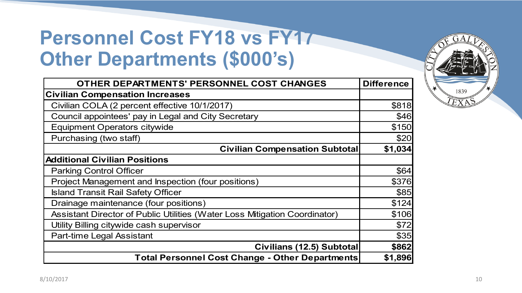### **Personnel Cost FY18 vs FY17 Other Departments (\$000's)**

| OTHER DEPARTMENTS' PERSONNEL COST CHANGES                                  | <b>Difference</b> |
|----------------------------------------------------------------------------|-------------------|
| <b>Civilian Compensation Increases</b>                                     |                   |
| Civilian COLA (2 percent effective 10/1/2017)                              | \$818             |
| Council appointees' pay in Legal and City Secretary                        | \$46              |
| <b>Equipment Operators citywide</b>                                        | \$150             |
| Purchasing (two staff)                                                     | \$20              |
| <b>Civilian Compensation Subtotal</b>                                      | \$1,034           |
| <b>Additional Civilian Positions</b>                                       |                   |
| <b>Parking Control Officer</b>                                             | \$64              |
| Project Management and Inspection (four positions)                         | \$376             |
| <b>Island Transit Rail Safety Officer</b>                                  | \$85              |
| Drainage maintenance (four positions)                                      | \$124             |
| Assistant Director of Public Utilities (Water Loss Mitigation Coordinator) | \$106             |
| Utility Billing citywide cash supervisor                                   | \$72              |
| Part-time Legal Assistant                                                  | \$35              |
| Civilians (12.5) Subtotal                                                  | \$862             |
| Total Personnel Cost Change - Other Departments                            | \$1,896           |

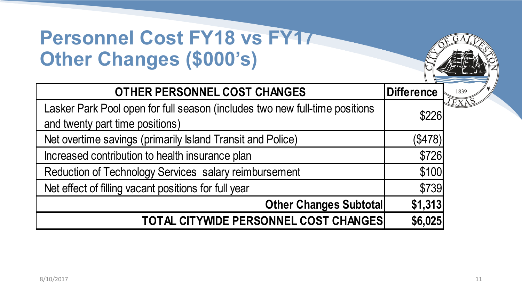### **Personnel Cost FY18 vs FY17 Other Changes (\$000's)**

| <b>OTHER PERSONNEL COST CHANGES</b>                                         | <b>Difference</b> |
|-----------------------------------------------------------------------------|-------------------|
| Lasker Park Pool open for full season (includes two new full-time positions | \$226             |
| and twenty part time positions)                                             |                   |
| Net overtime savings (primarily Island Transit and Police)                  | (\$478)           |
| Increased contribution to health insurance plan                             | \$726             |
| Reduction of Technology Services salary reimbursement                       | \$100             |
| Net effect of filling vacant positions for full year                        | \$739             |
| <b>Other Changes Subtotal</b>                                               | \$1,313           |
| TOTAL CITYWIDE PERSONNEL COST CHANGES                                       | \$6,025           |

 $A$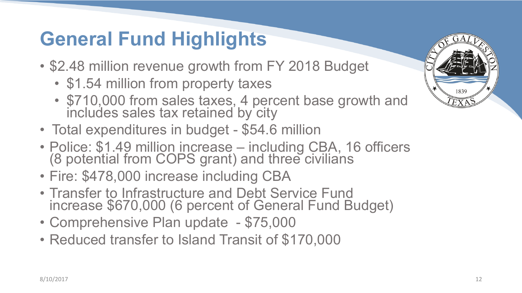## **General Fund Highlights**

- \$2.48 million revenue growth from FY 2018 Budget
	- \$1.54 million from property taxes
	- \$710,000 from sales taxes, 4 percent base growth and includes sales tax retained by city
- Total expenditures in budget \$54.6 million
- Police: \$1.49 million increase including CBA, 16 officers (8 potential from COPS grant) and three civilians
- Fire: \$478,000 increase including CBA
- Transfer to Infrastructure and Debt Service Fund increase \$670,000 (6 percent of General Fund Budget)
- Comprehensive Plan update \$75,000
- Reduced transfer to Island Transit of \$170,000

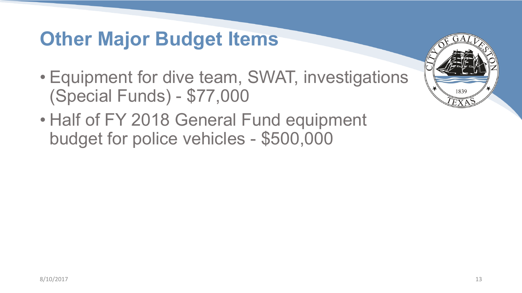#### **Other Major Budget Items**

- Equipment for dive team, SWAT, investigations (Special Funds) - \$77,000
- Half of FY 2018 General Fund equipment budget for police vehicles - \$500,000

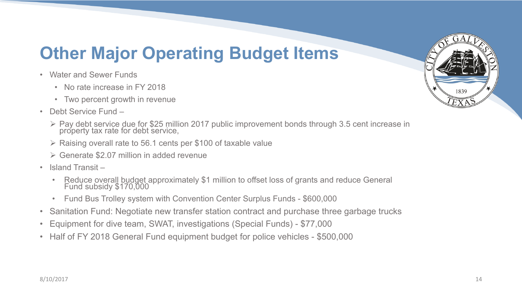#### **Other Major Operating Budget Items**

- Water and Sewer Funds
	- No rate increase in FY 2018
	- Two percent growth in revenue
- Debt Service Fund
	- Ø Pay debt service due for \$25 million 2017 public improvement bonds through 3.5 cent increase in property tax rate for debt service,
	- $\triangleright$  Raising overall rate to 56.1 cents per \$100 of taxable value
	- $\triangleright$  Generate \$2.07 million in added revenue
- Island Transit
	- Reduce overall budget approximately \$1 million to offset loss of grants and reduce General Fund subsidy \$170,000
	- Fund Bus Trolley system with Convention Center Surplus Funds \$600,000
- Sanitation Fund: Negotiate new transfer station contract and purchase three garbage trucks
- Equipment for dive team, SWAT, investigations (Special Funds) \$77,000
- Half of FY 2018 General Fund equipment budget for police vehicles \$500,000

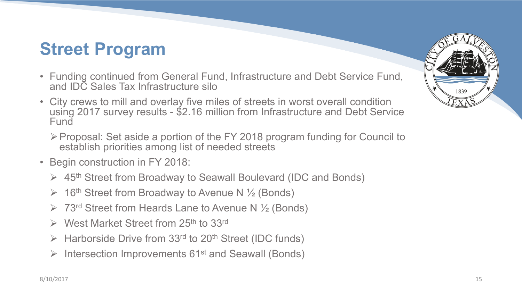#### **Street Program**

- Funding continued from General Fund, Infrastructure and Debt Service Fund, and IDC Sales Tax Infrastructure silo
- City crews to mill and overlay five miles of streets in worst overall condition using 2017 survey results - \$2.16 million from Infrastructure and Debt Service Fund
	- ØProposal: Set aside a portion of the FY 2018 program funding for Council to establish priorities among list of needed streets
- Begin construction in FY 2018:
	- $\triangleright$  45<sup>th</sup> Street from Broadway to Seawall Boulevard (IDC and Bonds)
	- $\triangleright$  16<sup>th</sup> Street from Broadway to Avenue N  $\frac{1}{2}$  (Bonds)
	- $\triangleright$  73<sup>rd</sup> Street from Heards Lane to Avenue N  $\frac{1}{2}$  (Bonds)
	- $\triangleright$  West Market Street from 25<sup>th</sup> to 33<sup>rd</sup>
	- $\triangleright$  Harborside Drive from 33<sup>rd</sup> to 20<sup>th</sup> Street (IDC funds)
	- $\triangleright$  Intersection Improvements 61<sup>st</sup> and Seawall (Bonds)

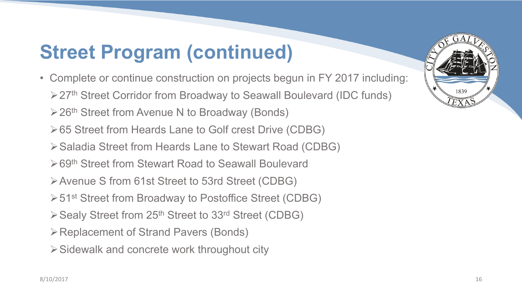## **Street Program (continued)**

- Complete or continue construction on projects begun in FY 2017 including: **≽27<sup>th</sup> Street Corridor from Broadway to Seawall Boulevard (IDC funds)** 
	- $\geq$  26<sup>th</sup> Street from Avenue N to Broadway (Bonds)
	- Ø65 Street from Heards Lane to Golf crest Drive (CDBG)
	- ØSaladia Street from Heards Lane to Stewart Road (CDBG)
	- **≻69<sup>th</sup> Street from Stewart Road to Seawall Boulevard**
	- ØAvenue S from 61st Street to 53rd Street (CDBG)
	- **≻51st Street from Broadway to Postoffice Street (CDBG)**
	- $\triangleright$  Sealy Street from 25<sup>th</sup> Street to 33<sup>rd</sup> Street (CDBG)
	- **≻ Replacement of Strand Pavers (Bonds)**
	- $\triangleright$  Sidewalk and concrete work throughout city

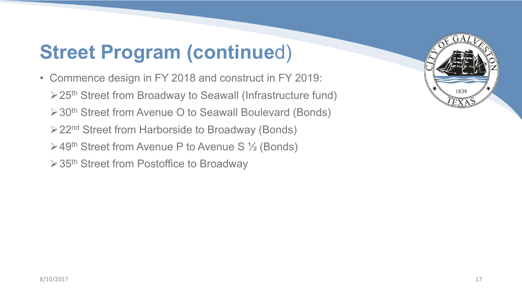### **Street Program (continue**d)

• Commence design in FY 2018 and construct in FY 2019: **≻25<sup>th</sup> Street from Broadway to Seawall (Infrastructure fund) ≻30<sup>th</sup> Street from Avenue O to Seawall Boulevard (Bonds) ≻22<sup>nd</sup> Street from Harborside to Broadway (Bonds)**  $\geq 49$ <sup>th</sup> Street from Avenue P to Avenue S  $\frac{1}{2}$  (Bonds)  $\geq 35$ <sup>th</sup> Street from Postoffice to Broadway

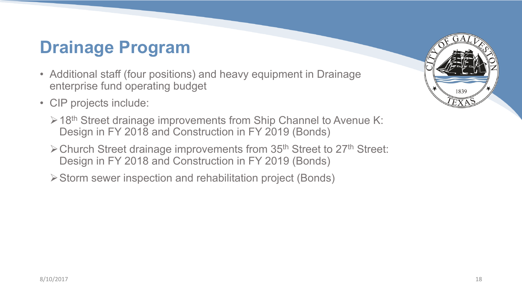#### **Drainage Program**

- Additional staff (four positions) and heavy equipment in Drainage enterprise fund operating budget
- CIP projects include:
	- $\geq 18$ <sup>th</sup> Street drainage improvements from Ship Channel to Avenue K: Design in FY 2018 and Construction in FY 2019 (Bonds)
	- $\triangleright$  Church Street drainage improvements from 35<sup>th</sup> Street to 27<sup>th</sup> Street: Design in FY 2018 and Construction in FY 2019 (Bonds)
	- ØStorm sewer inspection and rehabilitation project (Bonds)

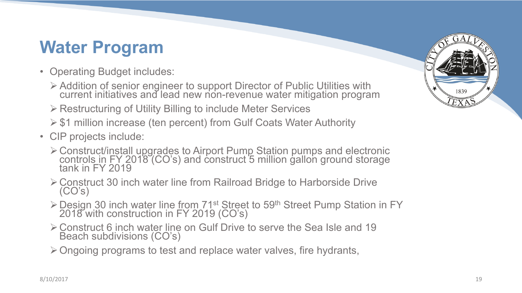#### **Water Program**

- Operating Budget includes:
	- Ø Addition of senior engineer to support Director of Public Utilities with current initiatives and lead new non-revenue water mitigation program
	- $\triangleright$  Restructuring of Utility Billing to include Meter Services
	- $\geq$  \$1 million increase (ten percent) from Gulf Coats Water Authority
- CIP projects include:
	- **≻ Construct/install upgrades to Airport Pump Station pumps and electronic** controls in FY 2018 (CO's) and construct 5 million gallon ground storage tank in FY 2019
	- $\geq$  Construct 30 inch water line from Railroad Bridge to Harborside Drive  $(CO's)$
	- <sup>Ø</sup>Design 30 inch water line from 71st Street to 59th Street Pump Station in FY 2018 with construction in FY 2019 (CO's)
	- ØConstruct 6 inch water line on Gulf Drive to serve the Sea Isle and 19 Beach subdivisions (CO's)
	- $\triangleright$  Ongoing programs to test and replace water valves, fire hydrants,